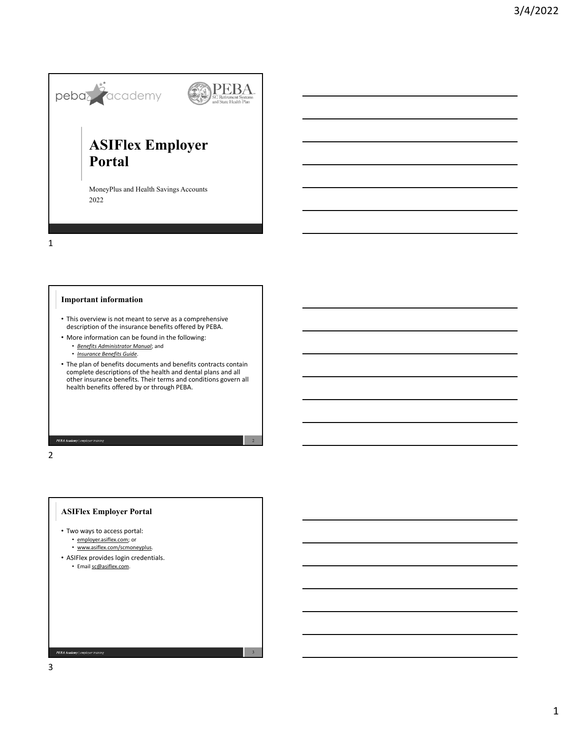

MoneyPlus and Health Savings Accounts 2022

1

## **Important information**

- This overview is not meant to serve as a comprehensive description of the insurance benefits offered by PEBA.
- More information can be found in the following:
	- *Benefits Administrator Manual*; and
	- *Insurance Benefits Guide*.
- The plan of benefits documents and benefits contracts contain complete descriptions of the health and dental plans and all other insurance benefits. Their terms and conditions govern all health benefits offered by or through PEBA.

3

PEBA Academy | emp

2

## **ASIFlex Employer Portal**

- Two ways to access portal: • employer.asiflex.com; or • www.asiflex.com/scmoneyplus.
- ASIFlex provides login credentials.
	- Email sc@asiflex.com.

3

PEBA Academy | employer training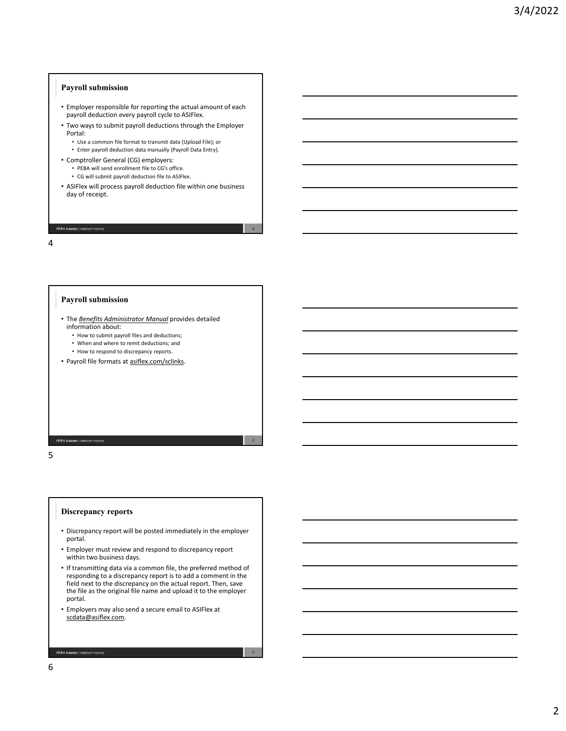# **Payroll submission**

- Employer responsible for reporting the actual amount of each payroll deduction every payroll cycle to ASIFlex.
- Two ways to submit payroll deductions through the Employer Portal:
	- Use a common file format to transmit data (Upload File); or
	- Enter payroll deduction data manually (Payroll Data Entry).
- Comptroller General (CG) employers:
	- PEBA will send enrollment file to CG's office.
	- CG will submit payroll deduction file to ASIFlex.
- ASIFlex will process payroll deduction file within one business day of receipt.

4

5

6

PEBA Academy | emplo

4

#### **Payroll submission**

- The *Benefits Administrator Manual* provides detailed information about:
	- How to submit payroll files and deductions;
	- When and where to remit deductions; and
	- How to respond to discrepancy reports.
- Payroll file formats at asiflex.com/sclinks.

PEBA Academy | em

5

#### **Discrepancy reports**

- Discrepancy report will be posted immediately in the employer portal.
- Employer must review and respond to discrepancy report within two business days.
- If transmitting data via a common file, the preferred method of responding to a discrepancy report is to add a comment in the field next to the discrepancy on the actual report. Then, save the file as the original file name and upload it to the employer portal.
- Employers may also send a secure email to ASIFlex at scdata@asiflex.com.

PEBA Academy | employer t